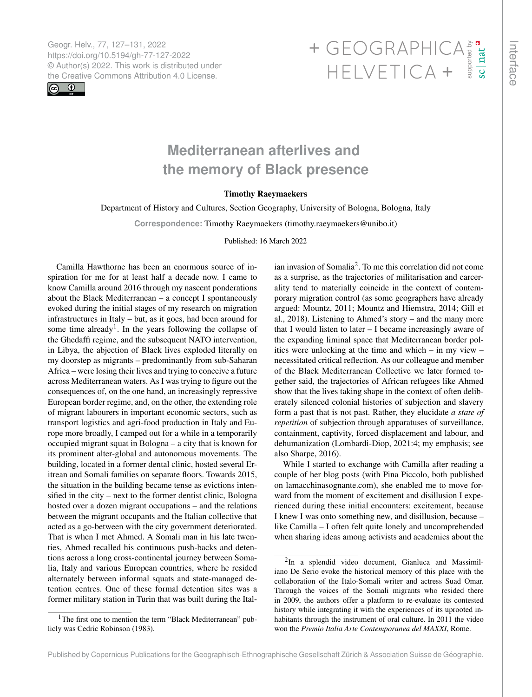Geogr. Helv., 77, 127–131, 2022 https://doi.org/10.5194/gh-77-127-2022 © Author(s) 2022. This work is distributed under



## Geogr. Helv., 77, 127–131, 2022<br>https://doi.org/10.5194/gh-77-127-2022<br>
© Author(s) 2022. This work is distributed under<br>
the Creative Commons Attribution 4.0 License.<br>
HELVETICA +

## **Mediterranean afterlives and the memory of Black presence**

## Timothy Raeymaekers

Department of History and Cultures, Section Geography, University of Bologna, Bologna, Italy

**Correspondence:** Timothy Raeymaekers (timothy.raeymaekers@unibo.it)

Published: 16 March 2022

Camilla Hawthorne has been an enormous source of inspiration for me for at least half a decade now. I came to know Camilla around 2016 through my nascent ponderations about the Black Mediterranean – a concept I spontaneously evoked during the initial stages of my research on migration infrastructures in Italy – but, as it goes, had been around for some time already<sup>[1](#page-0-0)</sup>. In the years following the collapse of the Ghedaffi regime, and the subsequent NATO intervention, in Libya, the abjection of Black lives exploded literally on my doorstep as migrants – predominantly from sub-Saharan Africa – were losing their lives and trying to conceive a future across Mediterranean waters. As I was trying to figure out the consequences of, on the one hand, an increasingly repressive European border regime, and, on the other, the extending role of migrant labourers in important economic sectors, such as transport logistics and agri-food production in Italy and Europe more broadly, I camped out for a while in a temporarily occupied migrant squat in Bologna – a city that is known for its prominent alter-global and autonomous movements. The building, located in a former dental clinic, hosted several Eritrean and Somali families on separate floors. Towards 2015, the situation in the building became tense as evictions intensified in the city – next to the former dentist clinic, Bologna hosted over a dozen migrant occupations – and the relations between the migrant occupants and the Italian collective that acted as a go-between with the city government deteriorated. That is when I met Ahmed. A Somali man in his late twenties, Ahmed recalled his continuous push-backs and detentions across a long cross-continental journey between Somalia, Italy and various European countries, where he resided alternately between informal squats and state-managed detention centres. One of these formal detention sites was a former military station in Turin that was built during the Ital-

ian invasion of Somalia[2](#page-0-1) . To me this correlation did not come as a surprise, as the trajectories of militarisation and carcerality tend to materially coincide in the context of contemporary migration control (as some geographers have already argued: Mountz, 2011; Mountz and Hiemstra, 2014; Gill et al., 2018). Listening to Ahmed's story – and the many more that I would listen to later – I became increasingly aware of the expanding liminal space that Mediterranean border politics were unlocking at the time and which – in my view – necessitated critical reflection. As our colleague and member of the Black Mediterranean Collective we later formed together said, the trajectories of African refugees like Ahmed show that the lives taking shape in the context of often deliberately silenced colonial histories of subjection and slavery form a past that is not past. Rather, they elucidate *a state of repetition* of subjection through apparatuses of surveillance, containment, captivity, forced displacement and labour, and dehumanization (Lombardi-Diop, 2021:4; my emphasis; see also Sharpe, 2016).

While I started to exchange with Camilla after reading a couple of her blog posts (with Pina Piccolo, both published on lamacchinasognante.com), she enabled me to move forward from the moment of excitement and disillusion I experienced during these initial encounters: excitement, because I knew I was onto something new, and disillusion, because – like Camilla – I often felt quite lonely and uncomprehended when sharing ideas among activists and academics about the

<span id="page-0-0"></span><sup>&</sup>lt;sup>1</sup>The first one to mention the term "Black Mediterranean" publicly was Cedric Robinson (1983).

<span id="page-0-1"></span><sup>&</sup>lt;sup>2</sup>In a splendid video document, Gianluca and Massimiliano De Serio evoke the historical memory of this place with the collaboration of the Italo-Somali writer and actress Suad Omar. Through the voices of the Somali migrants who resided there in 2009, the authors offer a platform to re-evaluate its contested history while integrating it with the experiences of its uprooted inhabitants through the instrument of oral culture. In 2011 the video won the *Premio Italia Arte Contemporanea del MAXXI*, Rome.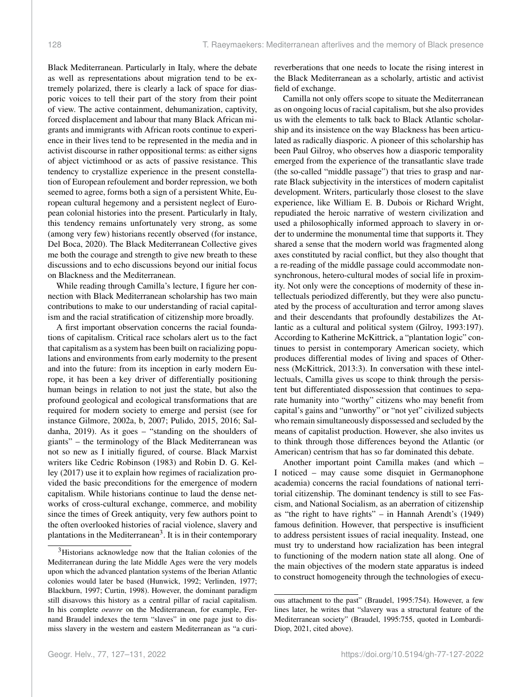Black Mediterranean. Particularly in Italy, where the debate as well as representations about migration tend to be extremely polarized, there is clearly a lack of space for diasporic voices to tell their part of the story from their point of view. The active containment, dehumanization, captivity, forced displacement and labour that many Black African migrants and immigrants with African roots continue to experience in their lives tend to be represented in the media and in activist discourse in rather oppositional terms: as either signs of abject victimhood or as acts of passive resistance. This tendency to crystallize experience in the present constellation of European refoulement and border repression, we both seemed to agree, forms both a sign of a persistent White, European cultural hegemony and a persistent neglect of European colonial histories into the present. Particularly in Italy, this tendency remains unfortunately very strong, as some (among very few) historians recently observed (for instance, Del Boca, 2020). The Black Mediterranean Collective gives me both the courage and strength to give new breath to these discussions and to echo discussions beyond our initial focus on Blackness and the Mediterranean.

While reading through Camilla's lecture, I figure her connection with Black Mediterranean scholarship has two main contributions to make to our understanding of racial capitalism and the racial stratification of citizenship more broadly.

A first important observation concerns the racial foundations of capitalism. Critical race scholars alert us to the fact that capitalism as a system has been built on racializing populations and environments from early modernity to the present and into the future: from its inception in early modern Europe, it has been a key driver of differentially positioning human beings in relation to not just the state, but also the profound geological and ecological transformations that are required for modern society to emerge and persist (see for instance Gilmore, 2002a, b, 2007; Pulido, 2015, 2016; Saldanha, 2019). As it goes – "standing on the shoulders of giants" – the terminology of the Black Mediterranean was not so new as I initially figured, of course. Black Marxist writers like Cedric Robinson (1983) and Robin D. G. Kelley (2017) use it to explain how regimes of racialization provided the basic preconditions for the emergence of modern capitalism. While historians continue to laud the dense networks of cross-cultural exchange, commerce, and mobility since the times of Greek antiquity, very few authors point to the often overlooked histories of racial violence, slavery and plantations in the Mediterranean<sup>[3](#page-1-0)</sup>. It is in their contemporary

reverberations that one needs to locate the rising interest in the Black Mediterranean as a scholarly, artistic and activist field of exchange.

Camilla not only offers scope to situate the Mediterranean as on ongoing locus of racial capitalism, but she also provides us with the elements to talk back to Black Atlantic scholarship and its insistence on the way Blackness has been articulated as radically diasporic. A pioneer of this scholarship has been Paul Gilroy, who observes how a diasporic temporality emerged from the experience of the transatlantic slave trade (the so-called "middle passage") that tries to grasp and narrate Black subjectivity in the interstices of modern capitalist development. Writers, particularly those closest to the slave experience, like William E. B. Dubois or Richard Wright, repudiated the heroic narrative of western civilization and used a philosophically informed approach to slavery in order to undermine the monumental time that supports it. They shared a sense that the modern world was fragmented along axes constituted by racial conflict, but they also thought that a re-reading of the middle passage could accommodate nonsynchronous, hetero-cultural modes of social life in proximity. Not only were the conceptions of modernity of these intellectuals periodized differently, but they were also punctuated by the process of acculturation and terror among slaves and their descendants that profoundly destabilizes the Atlantic as a cultural and political system (Gilroy, 1993:197). According to Katherine McKittrick, a "plantation logic" continues to persist in contemporary American society, which produces differential modes of living and spaces of Otherness (McKittrick, 2013:3). In conversation with these intellectuals, Camilla gives us scope to think through the persistent but differentiated dispossession that continues to separate humanity into "worthy" citizens who may benefit from capital's gains and "unworthy" or "not yet" civilized subjects who remain simultaneously dispossessed and secluded by the means of capitalist production. However, she also invites us to think through those differences beyond the Atlantic (or American) centrism that has so far dominated this debate.

Another important point Camilla makes (and which – I noticed – may cause some disquiet in Germanophone academia) concerns the racial foundations of national territorial citizenship. The dominant tendency is still to see Fascism, and National Socialism, as an aberration of citizenship as "the right to have rights" – in Hannah Arendt's (1949) famous definition. However, that perspective is insufficient to address persistent issues of racial inequality. Instead, one must try to understand how racialization has been integral to functioning of the modern nation state all along. One of the main objectives of the modern state apparatus is indeed to construct homogeneity through the technologies of execu-

<span id="page-1-0"></span><sup>&</sup>lt;sup>3</sup>Historians acknowledge now that the Italian colonies of the Mediterranean during the late Middle Ages were the very models upon which the advanced plantation systems of the Iberian Atlantic colonies would later be based (Hunwick, 1992; Verlinden, 1977; Blackburn, 1997; Curtin, 1998). However, the dominant paradigm still disavows this history as a central pillar of racial capitalism. In his complete *oeuvre* on the Mediterranean, for example, Fernand Braudel indexes the term "slaves" in one page just to dismiss slavery in the western and eastern Mediterranean as "a curi-

ous attachment to the past" (Braudel, 1995:754). However, a few lines later, he writes that "slavery was a structural feature of the Mediterranean society" (Braudel, 1995:755, quoted in Lombardi-Diop, 2021, cited above).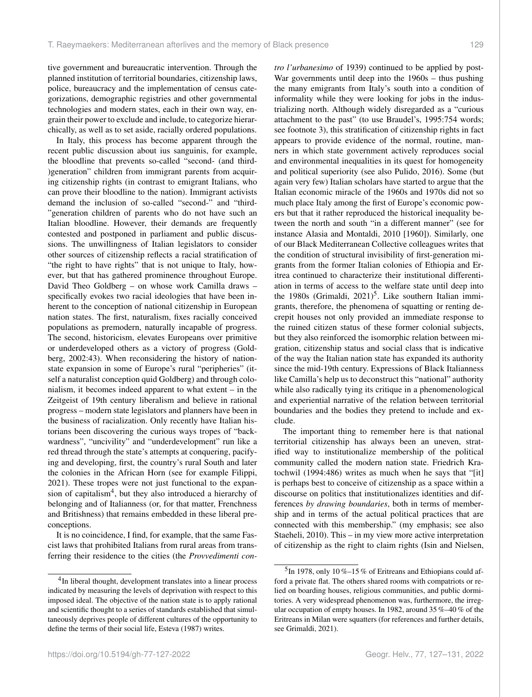tive government and bureaucratic intervention. Through the planned institution of territorial boundaries, citizenship laws, police, bureaucracy and the implementation of census categorizations, demographic registries and other governmental technologies and modern states, each in their own way, engrain their power to exclude and include, to categorize hierarchically, as well as to set aside, racially ordered populations.

In Italy, this process has become apparent through the recent public discussion about ius sanguinis, for example, the bloodline that prevents so-called "second- (and third- )generation" children from immigrant parents from acquiring citizenship rights (in contrast to emigrant Italians, who can prove their bloodline to the nation). Immigrant activists demand the inclusion of so-called "second-" and "third- "generation children of parents who do not have such an Italian bloodline. However, their demands are frequently contested and postponed in parliament and public discussions. The unwillingness of Italian legislators to consider other sources of citizenship reflects a racial stratification of "the right to have rights" that is not unique to Italy, however, but that has gathered prominence throughout Europe. David Theo Goldberg – on whose work Camilla draws – specifically evokes two racial ideologies that have been inherent to the conception of national citizenship in European nation states. The first, naturalism, fixes racially conceived populations as premodern, naturally incapable of progress. The second, historicism, elevates Europeans over primitive or underdeveloped others as a victory of progress (Goldberg, 2002:43). When reconsidering the history of nationstate expansion in some of Europe's rural "peripheries" (itself a naturalist conception quid Goldberg) and through colonialism, it becomes indeed apparent to what extent – in the Zeitgeist of 19th century liberalism and believe in rational progress – modern state legislators and planners have been in the business of racialization. Only recently have Italian historians been discovering the curious ways tropes of "backwardness", "uncivility" and "underdevelopment" run like a red thread through the state's attempts at conquering, pacifying and developing, first, the country's rural South and later the colonies in the African Horn (see for example Filippi, 2021). These tropes were not just functional to the expan-sion of capitalism<sup>[4](#page-2-0)</sup>, but they also introduced a hierarchy of belonging and of Italianness (or, for that matter, Frenchness and Britishness) that remains embedded in these liberal preconceptions.

It is no coincidence, I find, for example, that the same Fascist laws that prohibited Italians from rural areas from transferring their residence to the cities (the *Provvedimenti con-* *tro l'urbanesimo* of 1939) continued to be applied by post-War governments until deep into the 1960s – thus pushing the many emigrants from Italy's south into a condition of informality while they were looking for jobs in the industrializing north. Although widely disregarded as a "curious attachment to the past" (to use Braudel's, 1995:754 words; see footnote 3), this stratification of citizenship rights in fact appears to provide evidence of the normal, routine, manners in which state government actively reproduces social and environmental inequalities in its quest for homogeneity and political superiority (see also Pulido, 2016). Some (but again very few) Italian scholars have started to argue that the Italian economic miracle of the 1960s and 1970s did not so much place Italy among the first of Europe's economic powers but that it rather reproduced the historical inequality between the north and south "in a different manner" (see for instance Alasia and Montaldi, 2010 [1960]). Similarly, one of our Black Mediterranean Collective colleagues writes that the condition of structural invisibility of first-generation migrants from the former Italian colonies of Ethiopia and Eritrea continued to characterize their institutional differentiation in terms of access to the welfare state until deep into the 1980s (Grimaldi,  $2021$ <sup>[5](#page-2-1)</sup>. Like southern Italian immigrants, therefore, the phenomena of squatting or renting decrepit houses not only provided an immediate response to the ruined citizen status of these former colonial subjects, but they also reinforced the isomorphic relation between migration, citizenship status and social class that is indicative of the way the Italian nation state has expanded its authority since the mid-19th century. Expressions of Black Italianness like Camilla's help us to deconstruct this "national" authority while also radically tying its critique in a phenomenological and experiential narrative of the relation between territorial boundaries and the bodies they pretend to include and exclude.

The important thing to remember here is that national territorial citizenship has always been an uneven, stratified way to institutionalize membership of the political community called the modern nation state. Friedrich Kratochwil (1994:486) writes as much when he says that "[it] is perhaps best to conceive of citizenship as a space within a discourse on politics that institutionalizes identities and differences *by drawing boundaries*, both in terms of membership and in terms of the actual political practices that are connected with this membership." (my emphasis; see also Staeheli, 2010). This – in my view more active interpretation of citizenship as the right to claim rights (Isin and Nielsen,

<span id="page-2-0"></span><sup>&</sup>lt;sup>4</sup>In liberal thought, development translates into a linear process indicated by measuring the levels of deprivation with respect to this imposed ideal. The objective of the nation state is to apply rational and scientific thought to a series of standards established that simultaneously deprives people of different cultures of the opportunity to define the terms of their social life, Esteva (1987) writes.

<span id="page-2-1"></span><sup>&</sup>lt;sup>5</sup>In 1978, only 10%-15% of Eritreans and Ethiopians could afford a private flat. The others shared rooms with compatriots or relied on boarding houses, religious communities, and public dormitories. A very widespread phenomenon was, furthermore, the irregular occupation of empty houses. In 1982, around 35 %–40 % of the Eritreans in Milan were squatters (for references and further details, see Grimaldi, 2021).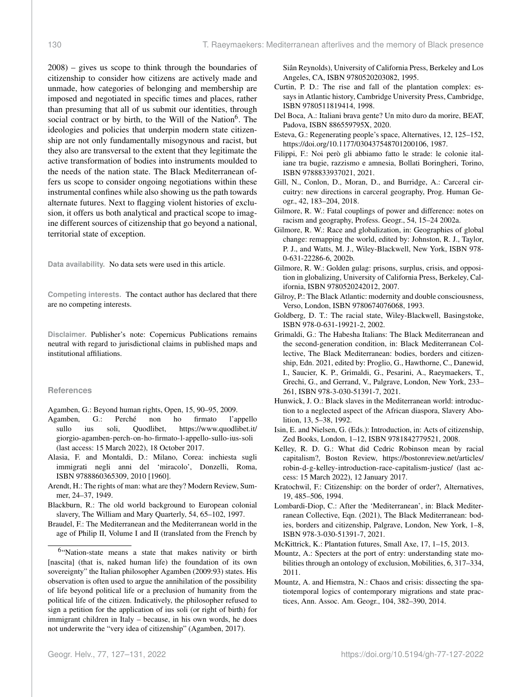2008) – gives us scope to think through the boundaries of citizenship to consider how citizens are actively made and unmade, how categories of belonging and membership are imposed and negotiated in specific times and places, rather than presuming that all of us submit our identities, through social contract or by birth, to the Will of the Nation<sup>[6](#page-3-0)</sup>. The ideologies and policies that underpin modern state citizenship are not only fundamentally misogynous and racist, but they also are transversal to the extent that they legitimate the active transformation of bodies into instruments moulded to the needs of the nation state. The Black Mediterranean offers us scope to consider ongoing negotiations within these instrumental confines while also showing us the path towards alternate futures. Next to flagging violent histories of exclusion, it offers us both analytical and practical scope to imagine different sources of citizenship that go beyond a national, territorial state of exception.

**Data availability.** No data sets were used in this article.

**Competing interests.** The contact author has declared that there are no competing interests.

**Disclaimer.** Publisher's note: Copernicus Publications remains neutral with regard to jurisdictional claims in published maps and institutional affiliations.

## **References**

Agamben, G.: Beyond human rights, Open, 15, 90–95, 2009.

- Agamben, G.: Perché non ho firmato l'appello sullo ius soli, Quodlibet, [https://www.quodlibet.it/](https://www.quodlibet.it/giorgio-agamben-perch-on-ho-firmato-l-appello-sullo-ius-soli) [giorgio-agamben-perch-on-ho-firmato-l-appello-sullo-ius-soli](https://www.quodlibet.it/giorgio-agamben-perch-on-ho-firmato-l-appello-sullo-ius-soli) (last access: 15 March 2022), 18 October 2017.
- Alasia, F. and Montaldi, D.: Milano, Corea: inchiesta sugli immigrati negli anni del 'miracolo', Donzelli, Roma, ISBN 9788860365309, 2010 [1960].
- Arendt, H.: The rights of man: what are they? Modern Review, Summer, 24–37, 1949.
- Blackburn, R.: The old world background to European colonial slavery, The William and Mary Quarterly, 54, 65–102, 1997.
- Braudel, F.: The Mediterranean and the Mediterranean world in the age of Philip II, Volume I and II (translated from the French by

Siân Reynolds), University of California Press, Berkeley and Los Angeles, CA, ISBN 9780520203082, 1995.

- Curtin, P. D.: The rise and fall of the plantation complex: essays in Atlantic history, Cambridge University Press, Cambridge, ISBN 9780511819414, 1998.
- Del Boca, A.: Italiani brava gente? Un mito duro da morire, BEAT, Padova, ISBN 886559795X, 2020.
- Esteva, G.: Regenerating people's space, Alternatives, 12, 125–152, https://doi.org[/10.1177/030437548701200106,](https://doi.org/10.1177/030437548701200106) 1987.
- Filippi, F.: Noi però gli abbiamo fatto le strade: le colonie italiane tra bugie, razzismo e amnesia, Bollati Boringheri, Torino, ISBN 9788833937021, 2021.
- Gill, N., Conlon, D., Moran, D., and Burridge, A.: Carceral circuitry: new directions in carceral geography, Prog. Human Geogr., 42, 183–204, 2018.
- Gilmore, R. W.: Fatal couplings of power and difference: notes on racism and geography, Profess. Geogr., 54, 15–24 2002a.
- Gilmore, R. W.: Race and globalization, in: Geographies of global change: remapping the world, edited by: Johnston, R. J., Taylor, P. J., and Watts, M. J., Wiley-Blackwell, New York, ISBN 978- 0-631-22286-6, 2002b.
- Gilmore, R. W.: Golden gulag: prisons, surplus, crisis, and opposition in globalizing, University of California Press, Berkeley, California, ISBN 9780520242012, 2007.
- Gilroy, P.: The Black Atlantic: modernity and double consciousness, Verso, London, ISBN 9780674076068, 1993.
- Goldberg, D. T.: The racial state, Wiley-Blackwell, Basingstoke, ISBN 978-0-631-19921-2, 2002.
- Grimaldi, G.: The Habesha Italians: The Black Mediterranean and the second-generation condition, in: Black Mediterranean Collective, The Black Mediterranean: bodies, borders and citizenship, Edn. 2021, edited by: Proglio, G., Hawthorne, C., Danewid, I., Saucier, K. P., Grimaldi, G., Pesarini, A., Raeymaekers, T., Grechi, G., and Gerrand, V., Palgrave, London, New York, 233– 261, ISBN 978-3-030-51391-7, 2021.
- Hunwick, J. O.: Black slaves in the Mediterranean world: introduction to a neglected aspect of the African diaspora, Slavery Abolition, 13, 5–38, 1992.
- Isin, E. and Nielsen, G. (Eds.): Introduction, in: Acts of citizenship, Zed Books, London, 1–12, ISBN 9781842779521, 2008.
- Kelley, R. D. G.: What did Cedric Robinson mean by racial capitalism?, Boston Review, [https://bostonreview.net/articles/](https://bostonreview.net/articles/robin-d-g-kelley-introduction-race-capitalism-justice/) [robin-d-g-kelley-introduction-race-capitalism-justice/](https://bostonreview.net/articles/robin-d-g-kelley-introduction-race-capitalism-justice/) (last access: 15 March 2022), 12 January 2017.
- Kratochwil, F.: Citizenship: on the border of order?, Alternatives, 19, 485–506, 1994.
- Lombardi-Diop, C.: After the 'Mediterranean', in: Black Mediterranean Collective, Eqn. (2021), The Black Mediterranean: bodies, borders and citizenship, Palgrave, London, New York, 1–8, ISBN 978-3-030-51391-7, 2021.
- McKittrick, K.: Plantation futures, Small Axe, 17, 1–15, 2013.
- Mountz, A.: Specters at the port of entry: understanding state mobilities through an ontology of exclusion, Mobilities, 6, 317–334, 2011.
- Mountz, A. and Hiemstra, N.: Chaos and crisis: dissecting the spatiotemporal logics of contemporary migrations and state practices, Ann. Assoc. Am. Geogr., 104, 382–390, 2014.

<span id="page-3-0"></span><sup>&</sup>lt;sup>6</sup>"Nation-state means a state that makes nativity or birth [nascita] (that is, naked human life) the foundation of its own sovereignty" the Italian philosopher Agamben (2009:93) states. His observation is often used to argue the annihilation of the possibility of life beyond political life or a preclusion of humanity from the political life of the citizen. Indicatively, the philosopher refused to sign a petition for the application of ius soli (or right of birth) for immigrant children in Italy – because, in his own words, he does not underwrite the "very idea of citizenship" (Agamben, 2017).